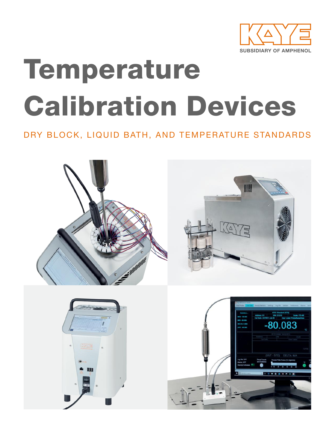

# Temperature Calibration Devices

### DRY BLOCK, LIQUID BATH, AND TEMPERATURE STANDARDS

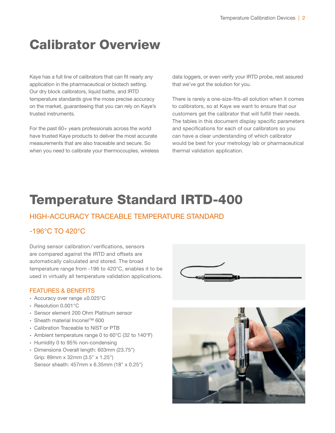### Calibrator Overview

Kaye has a full line of calibrators that can fit nearly any application in the pharmaceutical or biotech setting. Our dry block calibrators, liquid baths, and IRTD temperature standards give the mose precise accuracy on the market, guaranteeing that you can rely on Kaye's trusted instruments.

For the past 60+ years professionals across the world have trusted Kaye products to deliver the most accurate measurements that are also traceable and secure. So when you need to calibrate your thermocouples, wireless data loggers, or even verify your IRTD probe, rest assured that we've got the solution for you.

There is rarely a one-size-fits-all solution when it comes to calibrators, so at Kaye we want to ensure that our customers get the calibrator that will fulfill their needs. The tables in this document display specific parameters and specifications for each of our calibrators so you can have a clear understanding of which calibrator would be best for your metrology lab or pharmaceutical thermal validation application.

### Temperature Standard IRTD-400

#### HIGH-ACCURACY TRACEABLE TEMPERATURE STANDARD

#### -196°C TO 420°C

During sensor calibration / verifications, sensors are compared against the IRTD and offsets are automatically calculated and stored. The broad temperature range from -196 to 420°C, enables it to be used in virtually all temperature validation applications.

- ∙ Accuracy over range ±0.025°C
- ∙ Resolution 0.001°C
- ∙ Sensor element 200 Ohm Platinum sensor
- ∙ Sheath material Inconel™ 600
- ∙ Calibration Traceable to NIST or PTB
- ∙ Ambient temperature range 0 to 60°C (32 to 140°F)
- ∙ Humidity 0 to 95% non-condensing
- ∙ Dimensions Overall length: 603mm (23.75") Grip: 89mm x 32mm (3.5" x 1.25") Sensor sheath: 457mm x 6.35mm (18" x 0.25")



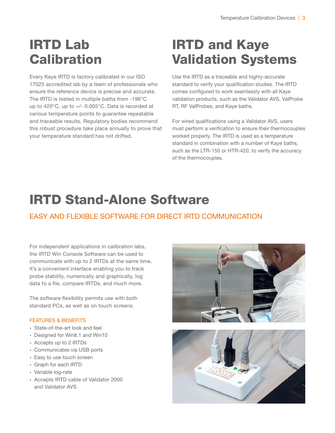### IRTD Lab **Calibration**

Every Kaye IRTD is factory calibrated in our ISO 17025 accredited lab by a team of professionals who ensure the reference device is precise and accurate. The IRTD is tested in multiple baths from -196°C up to 420°C, up to +/- 0.005°C. Data is recorded at various temperature points to guarantee repeatable and traceable results. Regulatory bodies recommend this robust procedure take place annually to prove that your temperature standard has not drifted.

### IRTD and Kaye Validation Systems

Use the IRTD as a traceable and highly-accurate standard to verify your qualification studies. The IRTD comes configured to work seamlessly with all Kaye validation products, such as the Validator AVS, ValProbe RT, RF ValProbes, and Kaye baths.

For wired qualifications using a Validator AVS, users must perform a verification to ensure their thermocouples worked properly. The IRTD is used as a temperature standard in combination with a number of Kaye baths, such as the LTR-150 or HTR-420, to verify the accuracy of the thermocouples.

# IRTD Stand-Alone Software

### EASY AND FLEXIBLE SOFTWARE FOR DIRECT IRTD COMMUNICATION

For independent applications in calibration labs, the IRTD Win Console Software can be used to communicate with up to 2 IRTDs at the same time. It's a convenient interface enabling you to track probe stability, numerically and graphically, log data to a file, compare IRTDs, and much more.

The software flexibility permits use with both standard PCs, as well as on touch screens.

- ∙ State-of-the-art look and feel
- ∙ Designed for Win8.1 and Win10
- ∙ Accepts up to 2 IRTDs
- ∙ Communicates via USB ports
- ∙ Easy to use touch screen
- ∙ Graph for each IRTD
- ∙ Variable log-rate
- ∙ Accepts IRTD cable of Validator 2000 and Validator AVS



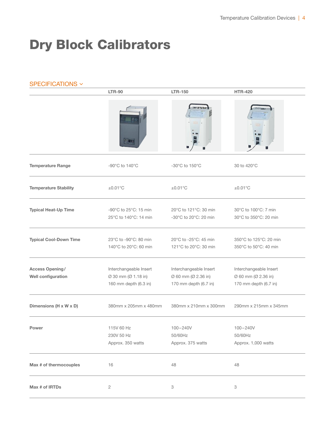### Dry Block Calibrators

| SPECIFICATIONS ~                      |                                                                        |                                                                        |                                                                        |  |
|---------------------------------------|------------------------------------------------------------------------|------------------------------------------------------------------------|------------------------------------------------------------------------|--|
|                                       | <b>LTR-90</b>                                                          | <b>LTR-150</b>                                                         | <b>HTR-420</b>                                                         |  |
|                                       |                                                                        |                                                                        |                                                                        |  |
| <b>Temperature Range</b>              | -90 $\degree$ C to 140 $\degree$ C                                     | $-30^{\circ}$ C to 150 $^{\circ}$ C                                    | 30 to 420°C                                                            |  |
| <b>Temperature Stability</b>          | $\pm 0.01^{\circ}$ C                                                   | $\pm 0.01^{\circ}$ C                                                   | $\pm 0.01^{\circ}$ C                                                   |  |
| <b>Typical Heat-Up Time</b>           | -90 $\degree$ C to 25 $\degree$ C: 15 min<br>25°C to 140°C: 14 min     | 20°C to 121°C: 30 min<br>$-30^{\circ}$ C to 20 $^{\circ}$ C: 20 min    | 30°C to 100°C: 7 min<br>30°C to 350°C: 20 min                          |  |
| <b>Typical Cool-Down Time</b>         | 23°C to -90°C: 80 min<br>140°C to 20°C: 60 min                         | 20°C to -25°C: 45 min<br>121°C to 20°C: 30 min                         | 350°C to 125°C: 20 min<br>350°C to 50°C: 40 min                        |  |
| Access Opening/<br>Well configuration | Interchangeable Insert<br>Ø 30 mm (Ø 1.18 in)<br>160 mm depth (6.3 in) | Interchangeable Insert<br>Ø 60 mm (Ø 2.36 in)<br>170 mm depth (6.7 in) | Interchangeable Insert<br>Ø 60 mm (Ø 2.36 in)<br>170 mm depth (6.7 in) |  |
| Dimensions (H x W x D)                | 380mm x 205mm x 480mm                                                  | 380mm x 210mm x 300mm                                                  | 290mm x 215mm x 345mm                                                  |  |
| Power                                 | 115V 60 Hz<br>230V 50 Hz<br>Approx. 350 watts                          | $100 - 240V$<br>50/60Hz<br>Approx. 375 watts                           | $100 - 240V$<br>50/60Hz<br>Approx. 1,000 watts                         |  |
| Max # of thermocouples                | 16                                                                     | 48                                                                     | 48                                                                     |  |
| Max # of IRTDs                        | $\sqrt{2}$                                                             | $\ensuremath{\mathsf{3}}$                                              | 3                                                                      |  |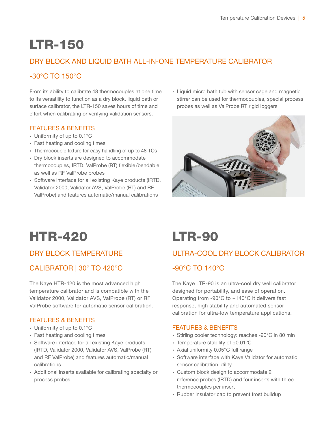### LTR-150

#### DRY BLOCK AND LIQUID BATH ALL-IN-ONE TEMPERATURE CALIBRATOR

#### -30°C TO 150°C

From its ability to calibrate 48 thermocouples at one time to its versatility to function as a dry block, liquid bath or surface calibrator, the LTR-150 saves hours of time and effort when calibrating or verifying validation sensors.

#### FEATURES & BENEFITS

- ∙ Uniformity of up to 0.1°C
- ∙ Fast heating and cooling times
- ∙ Thermocouple fixture for easy handling of up to 48 TCs
- ∙ Dry block inserts are designed to accommodate thermocouples, IRTD, ValProbe (RT) flexible/bendable as well as RF ValProbe probes
- ∙ Software interface for all existing Kaye products (IRTD, Validator 2000, Validator AVS, ValProbe (RT) and RF ValProbe) and features automatic/manual calibrations

∙ Liquid micro bath tub with sensor cage and magnetic stirrer can be used for thermocouples, special process probes as well as ValProbe RT rigid loggers



### HTR-420 LTR-90

#### DRY BLOCK TEMPERATURE

#### CALIBRATOR | 30° TO 420°C

The Kaye HTR-420 is the most advanced high temperature calibrator and is compatible with the Validator 2000, Validator AVS, ValProbe (RT) or RF ValProbe software for automatic sensor calibration.

#### FEATURES & BENEFITS

- ∙ Uniformity of up to 0.1°C
- ∙ Fast heating and cooling times
- ∙ Software interface for all existing Kaye products (IRTD, Validator 2000, Validator AVS, ValProbe (RT) and RF ValProbe) and features automatic/manual calibrations
- ∙ Additional inserts available for calibrating specialty or process probes

#### ULTRA-COOL DRY BLOCK CALIBRATOR

#### -90°C TO 140°C

The Kaye LTR-90 is an ultra-cool dry well calibrator designed for portability, and ease of operation. Operating from -90°C to +140°C it delivers fast response, high stability and automated sensor calibration for ultra-low temperature applications.

- ∙ Stirling cooler technology: reaches -90°C in 80 min
- ∙ Temperature stability of ±0.01ºC
- ∙ Axial uniformity 0.05°C full range
- ∙ Software interface with Kaye Validator for automatic sensor calibration utility
- ∙ Custom block design to accommodate 2 reference probes (IRTD) and four inserts with three thermocouples per insert
- ∙ Rubber insulator cap to prevent frost buildup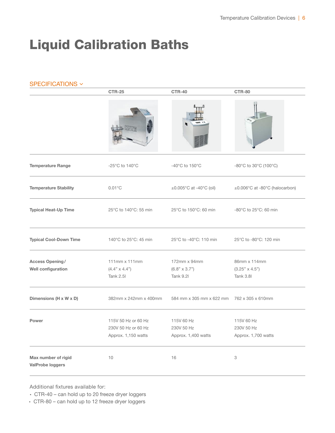### Liquid Calibration Baths

| SPECIFICATIONS V                               |                                                                   |                                                                    |                                                       |  |
|------------------------------------------------|-------------------------------------------------------------------|--------------------------------------------------------------------|-------------------------------------------------------|--|
|                                                | <b>CTR-25</b>                                                     | <b>CTR-40</b>                                                      | <b>CTR-80</b>                                         |  |
|                                                |                                                                   |                                                                    |                                                       |  |
| <b>Temperature Range</b>                       | -25 $\mathrm{^{\circ}C}$ to 140 $\mathrm{^{\circ}C}$              | $-40^{\circ}$ C to 150 $^{\circ}$ C                                | $-80^{\circ}$ C to 30 $^{\circ}$ C (100 $^{\circ}$ C) |  |
| <b>Temperature Stability</b>                   | $0.01^{\circ}$ C                                                  | $\pm 0.005^{\circ}$ C at -40 $^{\circ}$ C (oil)                    | ±0.006°C at -80°C (halocarbon)                        |  |
| <b>Typical Heat-Up Time</b>                    | 25°C to 140°C: 55 min                                             | 25°C to 150°C: 60 min                                              | $-80^{\circ}$ C to 25 $^{\circ}$ C: 60 min            |  |
| <b>Typical Cool-Down Time</b>                  | 140°C to 25°C: 45 min                                             | 25°C to -40°C: 110 min                                             | 25°C to -80°C: 120 min                                |  |
| Access Opening/<br>Well configuration          | $111mm \times 111mm$<br>$(4.4" \times 4.4")$<br><b>Tank 2.5 </b>  | $172$ mm $\times$ 94mm<br>$(6.8" \times 3.7")$<br><b>Tank 9.21</b> | 86mm x 114mm<br>$(3.25" \times 4.5")$<br>Tank 3.8     |  |
| Dimensions (H x W x D)                         | 382mm x 242mm x 400mm                                             | 584 mm x 305 mm x 622 mm 762 x 305 x 610mm                         |                                                       |  |
| Power                                          | 115V 50 Hz or 60 Hz<br>230V 50 Hz or 60 Hz<br>Approx. 1,150 watts | 115V 60 Hz<br>230V 50 Hz<br>Approx. 1,400 watts                    | 115V 60 Hz<br>230V 50 Hz<br>Approx. 1,700 watts       |  |
| Max number of rigid<br><b>ValProbe loggers</b> | $10$                                                              | 16                                                                 | 3                                                     |  |

Additional fixtures available for:

∙ CTR-40 – can hold up to 20 freeze dryer loggers

∙ CTR-80 – can hold up to 12 freeze dryer loggers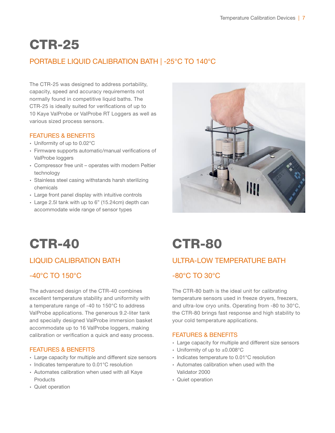# CTR-25

### PORTABLE LIQUID CALIBRATION BATH | -25°C TO 140°C

The CTR-25 was designed to address portability, capacity, speed and accuracy requirements not normally found in competitive liquid baths. The CTR-25 is ideally suited for verifications of up to 10 Kaye ValProbe or ValProbe RT Loggers as well as various sized process sensors.

#### FEATURES & BENEFITS

- ∙ Uniformity of up to 0.02°C
- ∙ Firmware supports automatic/manual verifications of ValProbe loggers
- ∙ Compressor free unit operates with modern Peltier technology
- ∙ Stainless steel casing withstands harsh sterilizing chemicals
- ∙ Large front panel display with intuitive controls
- ∙ Large 2.5l tank with up to 6" (15.24cm) depth can accommodate wide range of sensor types



### CTR-40 CTR-80

#### LIQUID CALIBRATION BATH

#### -40°C TO 150°C

The advanced design of the CTR-40 combines excellent temperature stability and uniformity with a temperature range of -40 to 150°C to address ValProbe applications. The generous 9.2-liter tank and specially designed ValProbe immersion basket accommodate up to 16 ValProbe loggers, making calibration or verification a quick and easy process.

#### FEATURES & BENEFITS

- ∙ Large capacity for multiple and different size sensors
- ∙ Indicates temperature to 0.01°C resolution
- ∙ Automates calibration when used with all Kaye **Products**
- ∙ Quiet operation

### ULTRA-LOW TEMPERATURE BATH

#### -80°C TO 30°C

The CTR-80 bath is the ideal unit for calibrating temperature sensors used in freeze dryers, freezers, and ultra-low cryo units. Operating from -80 to 30°C, the CTR-80 brings fast response and high stability to your cold temperature applications.

- ∙ Large capacity for multiple and different size sensors
- ∙ Uniformity of up to ±0.008°C
- ∙ Indicates temperature to 0.01°C resolution
- ∙ Automates calibration when used with the Validator 2000
- ∙ Quiet operation